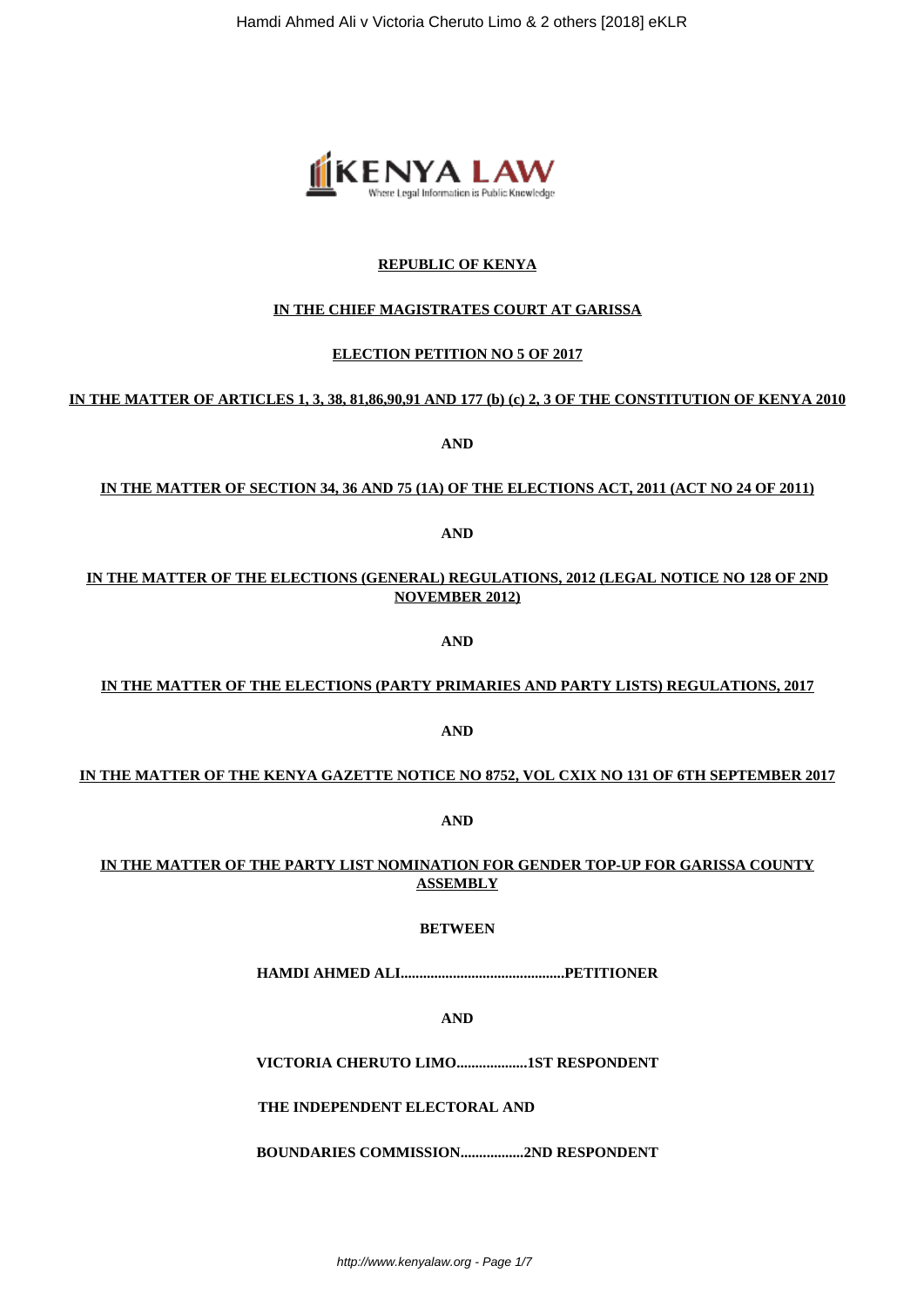

# **REPUBLIC OF KENYA**

# **IN THE CHIEF MAGISTRATES COURT AT GARISSA**

# **ELECTION PETITION NO 5 OF 2017**

# **IN THE MATTER OF ARTICLES 1, 3, 38, 81,86,90,91 AND 177 (b) (c) 2, 3 OF THE CONSTITUTION OF KENYA 2010**

**AND**

# **IN THE MATTER OF SECTION 34, 36 AND 75 (1A) OF THE ELECTIONS ACT, 2011 (ACT NO 24 OF 2011)**

**AND**

**IN THE MATTER OF THE ELECTIONS (GENERAL) REGULATIONS, 2012 (LEGAL NOTICE NO 128 OF 2ND NOVEMBER 2012)**

**AND**

# **IN THE MATTER OF THE ELECTIONS (PARTY PRIMARIES AND PARTY LISTS) REGULATIONS, 2017**

**AND**

# **IN THE MATTER OF THE KENYA GAZETTE NOTICE NO 8752, VOL CXIX NO 131 OF 6TH SEPTEMBER 2017**

**AND**

# **IN THE MATTER OF THE PARTY LIST NOMINATION FOR GENDER TOP-UP FOR GARISSA COUNTY ASSEMBLY**

# **BETWEEN**

**HAMDI AHMED ALI............................................PETITIONER**

**AND**

**VICTORIA CHERUTO LIMO...................1ST RESPONDENT**

**THE INDEPENDENT ELECTORAL AND**

**BOUNDARIES COMMISSION.................2ND RESPONDENT**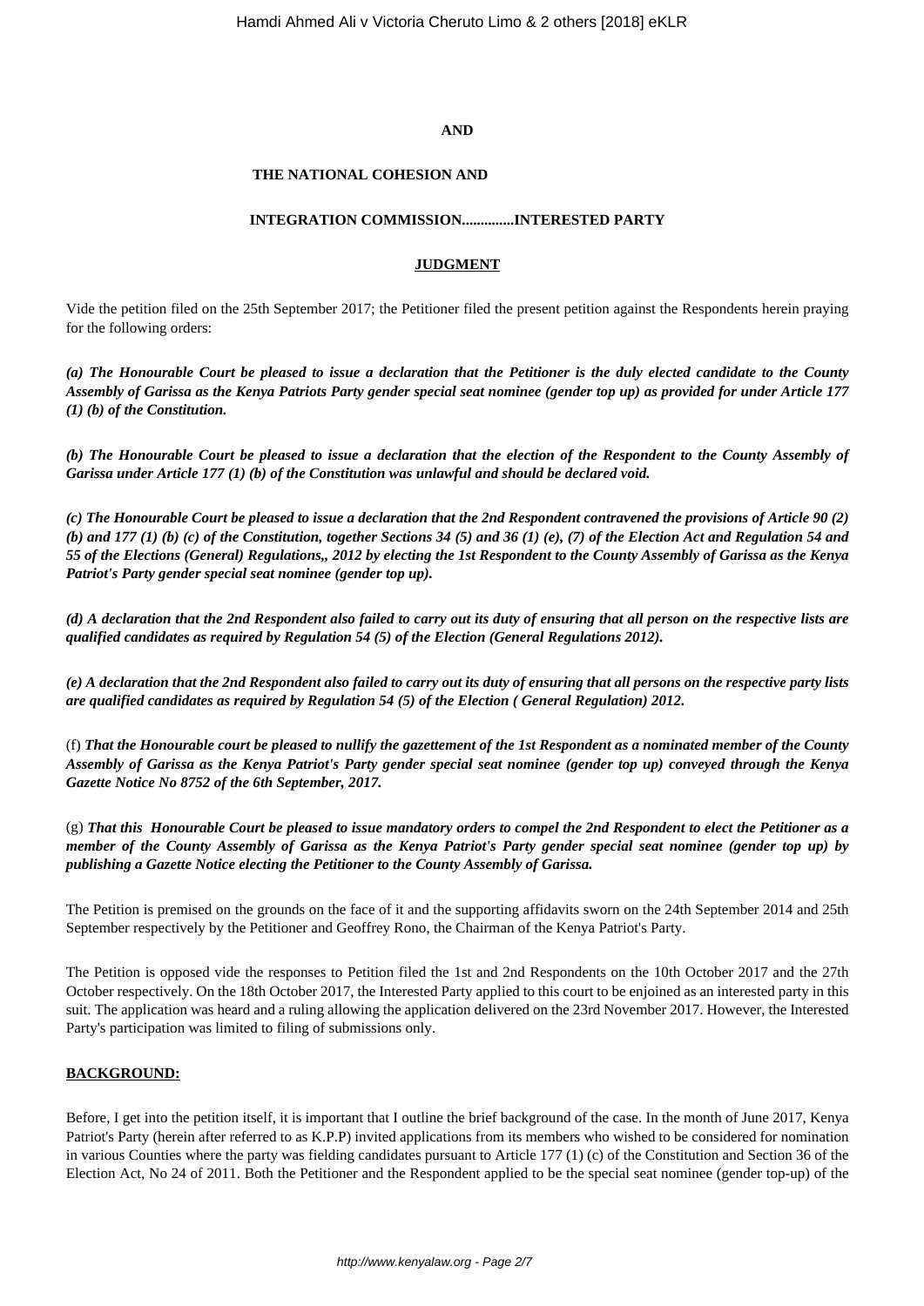#### **AND**

#### **THE NATIONAL COHESION AND**

#### **INTEGRATION COMMISSION..............INTERESTED PARTY**

#### **JUDGMENT**

Vide the petition filed on the 25th September 2017; the Petitioner filed the present petition against the Respondents herein praying for the following orders:

*(a) The Honourable Court be pleased to issue a declaration that the Petitioner is the duly elected candidate to the County Assembly of Garissa as the Kenya Patriots Party gender special seat nominee (gender top up) as provided for under Article 177 (1) (b) of the Constitution.*

*(b) The Honourable Court be pleased to issue a declaration that the election of the Respondent to the County Assembly of Garissa under Article 177 (1) (b) of the Constitution was unlawful and should be declared void.*

*(c) The Honourable Court be pleased to issue a declaration that the 2nd Respondent contravened the provisions of Article 90 (2) (b) and 177 (1) (b) (c) of the Constitution, together Sections 34 (5) and 36 (1) (e), (7) of the Election Act and Regulation 54 and 55 of the Elections (General) Regulations,, 2012 by electing the 1st Respondent to the County Assembly of Garissa as the Kenya Patriot's Party gender special seat nominee (gender top up).*

*(d) A declaration that the 2nd Respondent also failed to carry out its duty of ensuring that all person on the respective lists are qualified candidates as required by Regulation 54 (5) of the Election (General Regulations 2012).*

*(e) A declaration that the 2nd Respondent also failed to carry out its duty of ensuring that all persons on the respective party lists are qualified candidates as required by Regulation 54 (5) of the Election ( General Regulation) 2012.*

(f) *That the Honourable court be pleased to nullify the gazettement of the 1st Respondent as a nominated member of the County Assembly of Garissa as the Kenya Patriot's Party gender special seat nominee (gender top up) conveyed through the Kenya Gazette Notice No 8752 of the 6th September, 2017.*

(g) *That this Honourable Court be pleased to issue mandatory orders to compel the 2nd Respondent to elect the Petitioner as a member of the County Assembly of Garissa as the Kenya Patriot's Party gender special seat nominee (gender top up) by publishing a Gazette Notice electing the Petitioner to the County Assembly of Garissa.*

The Petition is premised on the grounds on the face of it and the supporting affidavits sworn on the 24th September 2014 and 25th September respectively by the Petitioner and Geoffrey Rono, the Chairman of the Kenya Patriot's Party.

The Petition is opposed vide the responses to Petition filed the 1st and 2nd Respondents on the 10th October 2017 and the 27th October respectively. On the 18th October 2017, the Interested Party applied to this court to be enjoined as an interested party in this suit. The application was heard and a ruling allowing the application delivered on the 23rd November 2017. However, the Interested Party's participation was limited to filing of submissions only.

### **BACKGROUND:**

Before, I get into the petition itself, it is important that I outline the brief background of the case. In the month of June 2017, Kenya Patriot's Party (herein after referred to as K.P.P) invited applications from its members who wished to be considered for nomination in various Counties where the party was fielding candidates pursuant to Article 177 (1) (c) of the Constitution and Section 36 of the Election Act, No 24 of 2011. Both the Petitioner and the Respondent applied to be the special seat nominee (gender top-up) of the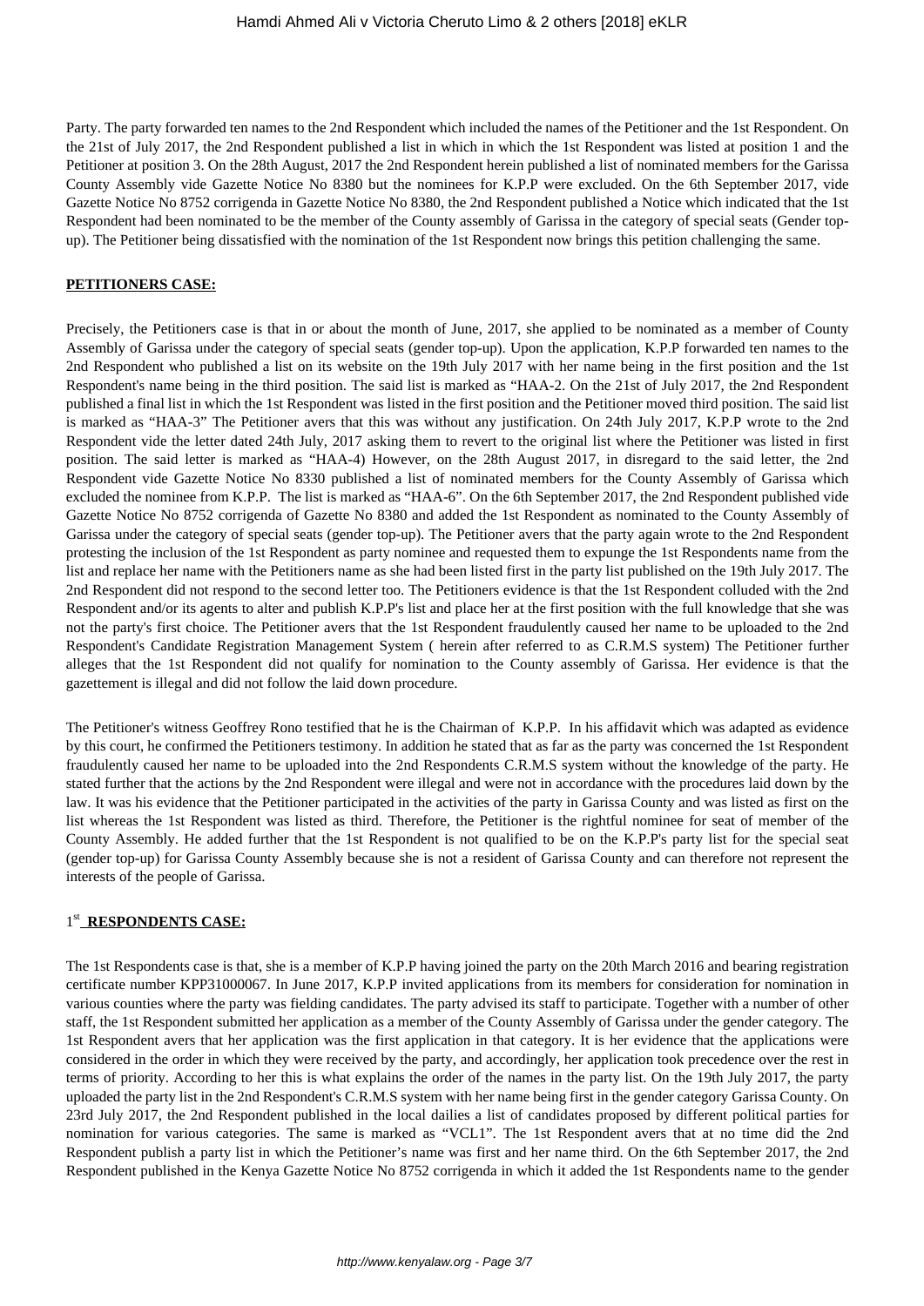Party. The party forwarded ten names to the 2nd Respondent which included the names of the Petitioner and the 1st Respondent. On the 21st of July 2017, the 2nd Respondent published a list in which in which the 1st Respondent was listed at position 1 and the Petitioner at position 3. On the 28th August, 2017 the 2nd Respondent herein published a list of nominated members for the Garissa County Assembly vide Gazette Notice No 8380 but the nominees for K.P.P were excluded. On the 6th September 2017, vide Gazette Notice No 8752 corrigenda in Gazette Notice No 8380, the 2nd Respondent published a Notice which indicated that the 1st Respondent had been nominated to be the member of the County assembly of Garissa in the category of special seats (Gender topup). The Petitioner being dissatisfied with the nomination of the 1st Respondent now brings this petition challenging the same.

### **PETITIONERS CASE:**

Precisely, the Petitioners case is that in or about the month of June, 2017, she applied to be nominated as a member of County Assembly of Garissa under the category of special seats (gender top-up). Upon the application, K.P.P forwarded ten names to the 2nd Respondent who published a list on its website on the 19th July 2017 with her name being in the first position and the 1st Respondent's name being in the third position. The said list is marked as "HAA-2. On the 21st of July 2017, the 2nd Respondent published a final list in which the 1st Respondent was listed in the first position and the Petitioner moved third position. The said list is marked as "HAA-3" The Petitioner avers that this was without any justification. On 24th July 2017, K.P.P wrote to the 2nd Respondent vide the letter dated 24th July, 2017 asking them to revert to the original list where the Petitioner was listed in first position. The said letter is marked as "HAA-4) However, on the 28th August 2017, in disregard to the said letter, the 2nd Respondent vide Gazette Notice No 8330 published a list of nominated members for the County Assembly of Garissa which excluded the nominee from K.P.P. The list is marked as "HAA-6". On the 6th September 2017, the 2nd Respondent published vide Gazette Notice No 8752 corrigenda of Gazette No 8380 and added the 1st Respondent as nominated to the County Assembly of Garissa under the category of special seats (gender top-up). The Petitioner avers that the party again wrote to the 2nd Respondent protesting the inclusion of the 1st Respondent as party nominee and requested them to expunge the 1st Respondents name from the list and replace her name with the Petitioners name as she had been listed first in the party list published on the 19th July 2017. The 2nd Respondent did not respond to the second letter too. The Petitioners evidence is that the 1st Respondent colluded with the 2nd Respondent and/or its agents to alter and publish K.P.P's list and place her at the first position with the full knowledge that she was not the party's first choice. The Petitioner avers that the 1st Respondent fraudulently caused her name to be uploaded to the 2nd Respondent's Candidate Registration Management System ( herein after referred to as C.R.M.S system) The Petitioner further alleges that the 1st Respondent did not qualify for nomination to the County assembly of Garissa. Her evidence is that the gazettement is illegal and did not follow the laid down procedure.

The Petitioner's witness Geoffrey Rono testified that he is the Chairman of K.P.P. In his affidavit which was adapted as evidence by this court, he confirmed the Petitioners testimony. In addition he stated that as far as the party was concerned the 1st Respondent fraudulently caused her name to be uploaded into the 2nd Respondents C.R.M.S system without the knowledge of the party. He stated further that the actions by the 2nd Respondent were illegal and were not in accordance with the procedures laid down by the law. It was his evidence that the Petitioner participated in the activities of the party in Garissa County and was listed as first on the list whereas the 1st Respondent was listed as third. Therefore, the Petitioner is the rightful nominee for seat of member of the County Assembly. He added further that the 1st Respondent is not qualified to be on the K.P.P's party list for the special seat (gender top-up) for Garissa County Assembly because she is not a resident of Garissa County and can therefore not represent the interests of the people of Garissa.

# 1<sup>st</sup> RESPONDENTS CASE:

The 1st Respondents case is that, she is a member of K.P.P having joined the party on the 20th March 2016 and bearing registration certificate number KPP31000067. In June 2017, K.P.P invited applications from its members for consideration for nomination in various counties where the party was fielding candidates. The party advised its staff to participate. Together with a number of other staff, the 1st Respondent submitted her application as a member of the County Assembly of Garissa under the gender category. The 1st Respondent avers that her application was the first application in that category. It is her evidence that the applications were considered in the order in which they were received by the party, and accordingly, her application took precedence over the rest in terms of priority. According to her this is what explains the order of the names in the party list. On the 19th July 2017, the party uploaded the party list in the 2nd Respondent's C.R.M.S system with her name being first in the gender category Garissa County. On 23rd July 2017, the 2nd Respondent published in the local dailies a list of candidates proposed by different political parties for nomination for various categories. The same is marked as "VCL1". The 1st Respondent avers that at no time did the 2nd Respondent publish a party list in which the Petitioner's name was first and her name third. On the 6th September 2017, the 2nd Respondent published in the Kenya Gazette Notice No 8752 corrigenda in which it added the 1st Respondents name to the gender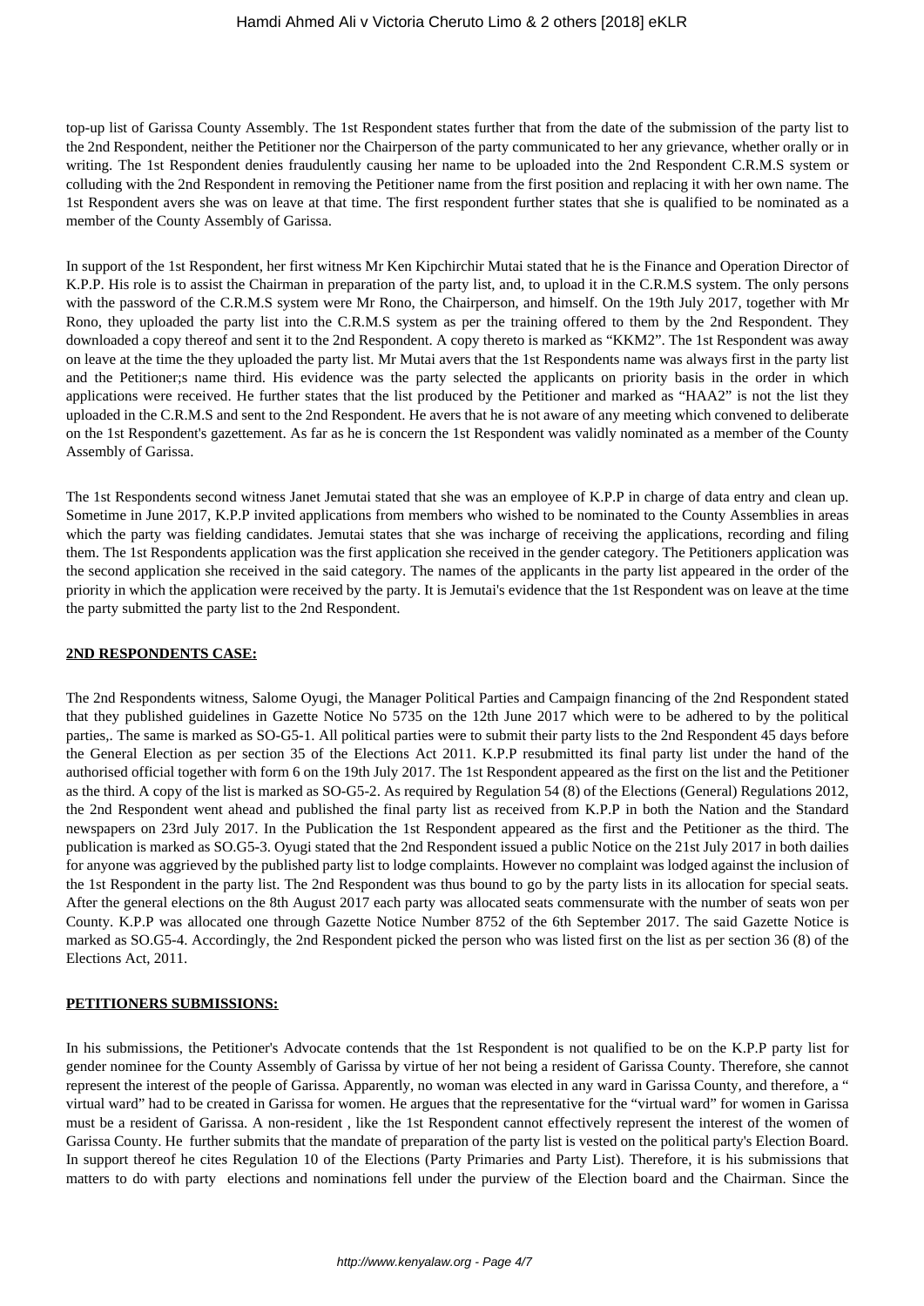top-up list of Garissa County Assembly. The 1st Respondent states further that from the date of the submission of the party list to the 2nd Respondent, neither the Petitioner nor the Chairperson of the party communicated to her any grievance, whether orally or in writing. The 1st Respondent denies fraudulently causing her name to be uploaded into the 2nd Respondent C.R.M.S system or colluding with the 2nd Respondent in removing the Petitioner name from the first position and replacing it with her own name. The 1st Respondent avers she was on leave at that time. The first respondent further states that she is qualified to be nominated as a member of the County Assembly of Garissa.

In support of the 1st Respondent, her first witness Mr Ken Kipchirchir Mutai stated that he is the Finance and Operation Director of K.P.P. His role is to assist the Chairman in preparation of the party list, and, to upload it in the C.R.M.S system. The only persons with the password of the C.R.M.S system were Mr Rono, the Chairperson, and himself. On the 19th July 2017, together with Mr Rono, they uploaded the party list into the C.R.M.S system as per the training offered to them by the 2nd Respondent. They downloaded a copy thereof and sent it to the 2nd Respondent. A copy thereto is marked as "KKM2". The 1st Respondent was away on leave at the time the they uploaded the party list. Mr Mutai avers that the 1st Respondents name was always first in the party list and the Petitioner;s name third. His evidence was the party selected the applicants on priority basis in the order in which applications were received. He further states that the list produced by the Petitioner and marked as "HAA2" is not the list they uploaded in the C.R.M.S and sent to the 2nd Respondent. He avers that he is not aware of any meeting which convened to deliberate on the 1st Respondent's gazettement. As far as he is concern the 1st Respondent was validly nominated as a member of the County Assembly of Garissa.

The 1st Respondents second witness Janet Jemutai stated that she was an employee of K.P.P in charge of data entry and clean up. Sometime in June 2017, K.P.P invited applications from members who wished to be nominated to the County Assemblies in areas which the party was fielding candidates. Jemutai states that she was incharge of receiving the applications, recording and filing them. The 1st Respondents application was the first application she received in the gender category. The Petitioners application was the second application she received in the said category. The names of the applicants in the party list appeared in the order of the priority in which the application were received by the party. It is Jemutai's evidence that the 1st Respondent was on leave at the time the party submitted the party list to the 2nd Respondent.

### **2ND RESPONDENTS CASE:**

The 2nd Respondents witness, Salome Oyugi, the Manager Political Parties and Campaign financing of the 2nd Respondent stated that they published guidelines in Gazette Notice No 5735 on the 12th June 2017 which were to be adhered to by the political parties,. The same is marked as SO-G5-1. All political parties were to submit their party lists to the 2nd Respondent 45 days before the General Election as per section 35 of the Elections Act 2011. K.P.P resubmitted its final party list under the hand of the authorised official together with form 6 on the 19th July 2017. The 1st Respondent appeared as the first on the list and the Petitioner as the third. A copy of the list is marked as SO-G5-2. As required by Regulation 54 (8) of the Elections (General) Regulations 2012, the 2nd Respondent went ahead and published the final party list as received from K.P.P in both the Nation and the Standard newspapers on 23rd July 2017. In the Publication the 1st Respondent appeared as the first and the Petitioner as the third. The publication is marked as SO.G5-3. Oyugi stated that the 2nd Respondent issued a public Notice on the 21st July 2017 in both dailies for anyone was aggrieved by the published party list to lodge complaints. However no complaint was lodged against the inclusion of the 1st Respondent in the party list. The 2nd Respondent was thus bound to go by the party lists in its allocation for special seats. After the general elections on the 8th August 2017 each party was allocated seats commensurate with the number of seats won per County. K.P.P was allocated one through Gazette Notice Number 8752 of the 6th September 2017. The said Gazette Notice is marked as SO.G5-4. Accordingly, the 2nd Respondent picked the person who was listed first on the list as per section 36 (8) of the Elections Act, 2011.

### **PETITIONERS SUBMISSIONS:**

In his submissions, the Petitioner's Advocate contends that the 1st Respondent is not qualified to be on the K.P.P party list for gender nominee for the County Assembly of Garissa by virtue of her not being a resident of Garissa County. Therefore, she cannot represent the interest of the people of Garissa. Apparently, no woman was elected in any ward in Garissa County, and therefore, a " virtual ward" had to be created in Garissa for women. He argues that the representative for the "virtual ward" for women in Garissa must be a resident of Garissa. A non-resident , like the 1st Respondent cannot effectively represent the interest of the women of Garissa County. He further submits that the mandate of preparation of the party list is vested on the political party's Election Board. In support thereof he cites Regulation 10 of the Elections (Party Primaries and Party List). Therefore, it is his submissions that matters to do with party elections and nominations fell under the purview of the Election board and the Chairman. Since the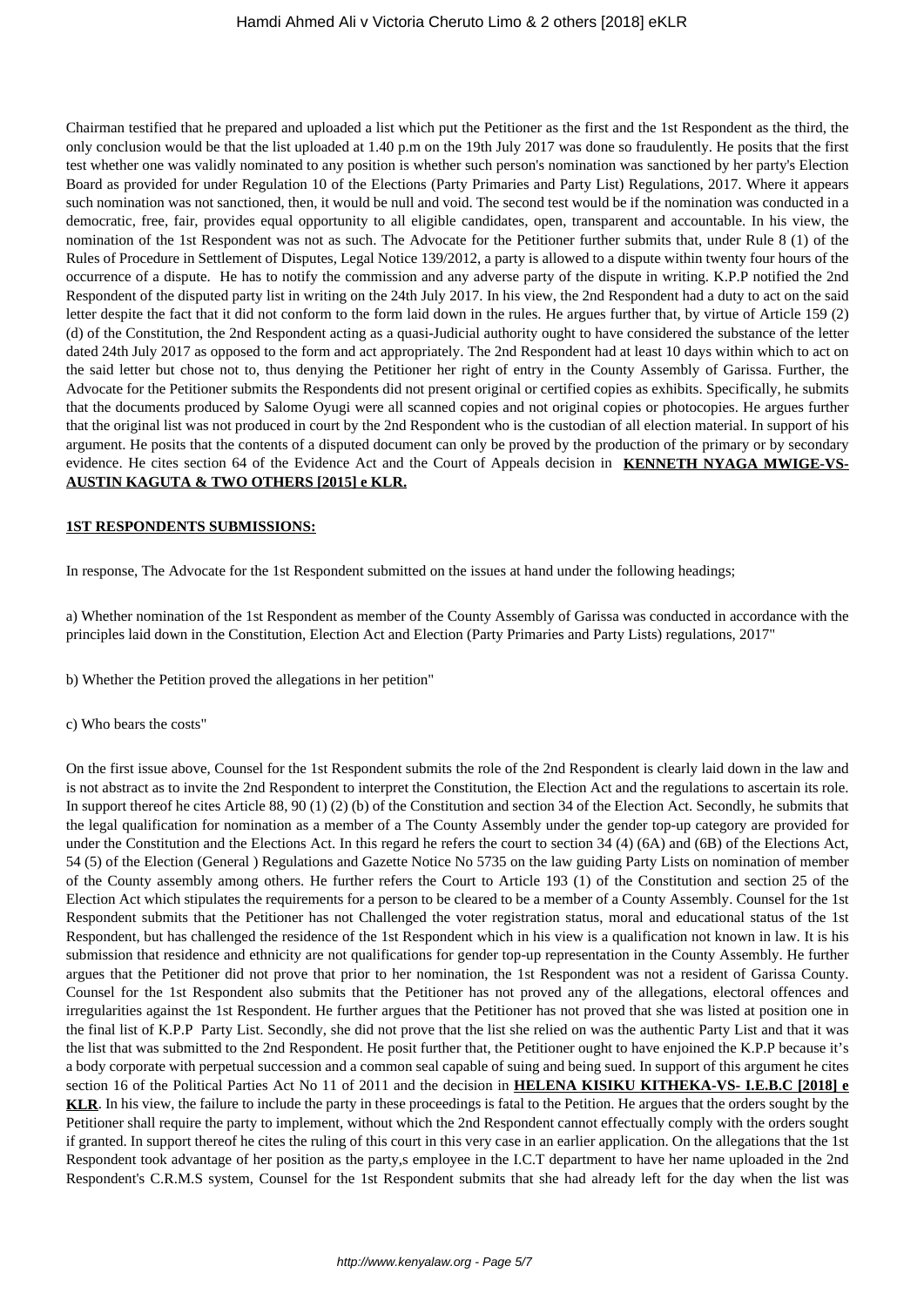Chairman testified that he prepared and uploaded a list which put the Petitioner as the first and the 1st Respondent as the third, the only conclusion would be that the list uploaded at 1.40 p.m on the 19th July 2017 was done so fraudulently. He posits that the first test whether one was validly nominated to any position is whether such person's nomination was sanctioned by her party's Election Board as provided for under Regulation 10 of the Elections (Party Primaries and Party List) Regulations, 2017. Where it appears such nomination was not sanctioned, then, it would be null and void. The second test would be if the nomination was conducted in a democratic, free, fair, provides equal opportunity to all eligible candidates, open, transparent and accountable. In his view, the nomination of the 1st Respondent was not as such. The Advocate for the Petitioner further submits that, under Rule 8 (1) of the Rules of Procedure in Settlement of Disputes, Legal Notice 139/2012, a party is allowed to a dispute within twenty four hours of the occurrence of a dispute. He has to notify the commission and any adverse party of the dispute in writing. K.P.P notified the 2nd Respondent of the disputed party list in writing on the 24th July 2017. In his view, the 2nd Respondent had a duty to act on the said letter despite the fact that it did not conform to the form laid down in the rules. He argues further that, by virtue of Article 159 (2) (d) of the Constitution, the 2nd Respondent acting as a quasi-Judicial authority ought to have considered the substance of the letter dated 24th July 2017 as opposed to the form and act appropriately. The 2nd Respondent had at least 10 days within which to act on the said letter but chose not to, thus denying the Petitioner her right of entry in the County Assembly of Garissa. Further, the Advocate for the Petitioner submits the Respondents did not present original or certified copies as exhibits. Specifically, he submits that the documents produced by Salome Oyugi were all scanned copies and not original copies or photocopies. He argues further that the original list was not produced in court by the 2nd Respondent who is the custodian of all election material. In support of his argument. He posits that the contents of a disputed document can only be proved by the production of the primary or by secondary evidence. He cites section 64 of the Evidence Act and the Court of Appeals decision in **KENNETH NYAGA MWIGE-VS-AUSTIN KAGUTA & TWO OTHERS [2015] e KLR.**

#### **1ST RESPONDENTS SUBMISSIONS:**

In response, The Advocate for the 1st Respondent submitted on the issues at hand under the following headings;

a) Whether nomination of the 1st Respondent as member of the County Assembly of Garissa was conducted in accordance with the principles laid down in the Constitution, Election Act and Election (Party Primaries and Party Lists) regulations, 2017"

- b) Whether the Petition proved the allegations in her petition"
- c) Who bears the costs"

On the first issue above, Counsel for the 1st Respondent submits the role of the 2nd Respondent is clearly laid down in the law and is not abstract as to invite the 2nd Respondent to interpret the Constitution, the Election Act and the regulations to ascertain its role. In support thereof he cites Article 88, 90 (1) (2) (b) of the Constitution and section 34 of the Election Act. Secondly, he submits that the legal qualification for nomination as a member of a The County Assembly under the gender top-up category are provided for under the Constitution and the Elections Act. In this regard he refers the court to section 34 (4) (6A) and (6B) of the Elections Act, 54 (5) of the Election (General ) Regulations and Gazette Notice No 5735 on the law guiding Party Lists on nomination of member of the County assembly among others. He further refers the Court to Article 193 (1) of the Constitution and section 25 of the Election Act which stipulates the requirements for a person to be cleared to be a member of a County Assembly. Counsel for the 1st Respondent submits that the Petitioner has not Challenged the voter registration status, moral and educational status of the 1st Respondent, but has challenged the residence of the 1st Respondent which in his view is a qualification not known in law. It is his submission that residence and ethnicity are not qualifications for gender top-up representation in the County Assembly. He further argues that the Petitioner did not prove that prior to her nomination, the 1st Respondent was not a resident of Garissa County. Counsel for the 1st Respondent also submits that the Petitioner has not proved any of the allegations, electoral offences and irregularities against the 1st Respondent. He further argues that the Petitioner has not proved that she was listed at position one in the final list of K.P.P Party List. Secondly, she did not prove that the list she relied on was the authentic Party List and that it was the list that was submitted to the 2nd Respondent. He posit further that, the Petitioner ought to have enjoined the K.P.P because it's a body corporate with perpetual succession and a common seal capable of suing and being sued. In support of this argument he cites section 16 of the Political Parties Act No 11 of 2011 and the decision in **HELENA KISIKU KITHEKA-VS- I.E.B.C [2018] e KLR**. In his view, the failure to include the party in these proceedings is fatal to the Petition. He argues that the orders sought by the Petitioner shall require the party to implement, without which the 2nd Respondent cannot effectually comply with the orders sought if granted. In support thereof he cites the ruling of this court in this very case in an earlier application. On the allegations that the 1st Respondent took advantage of her position as the party,s employee in the I.C.T department to have her name uploaded in the 2nd Respondent's C.R.M.S system, Counsel for the 1st Respondent submits that she had already left for the day when the list was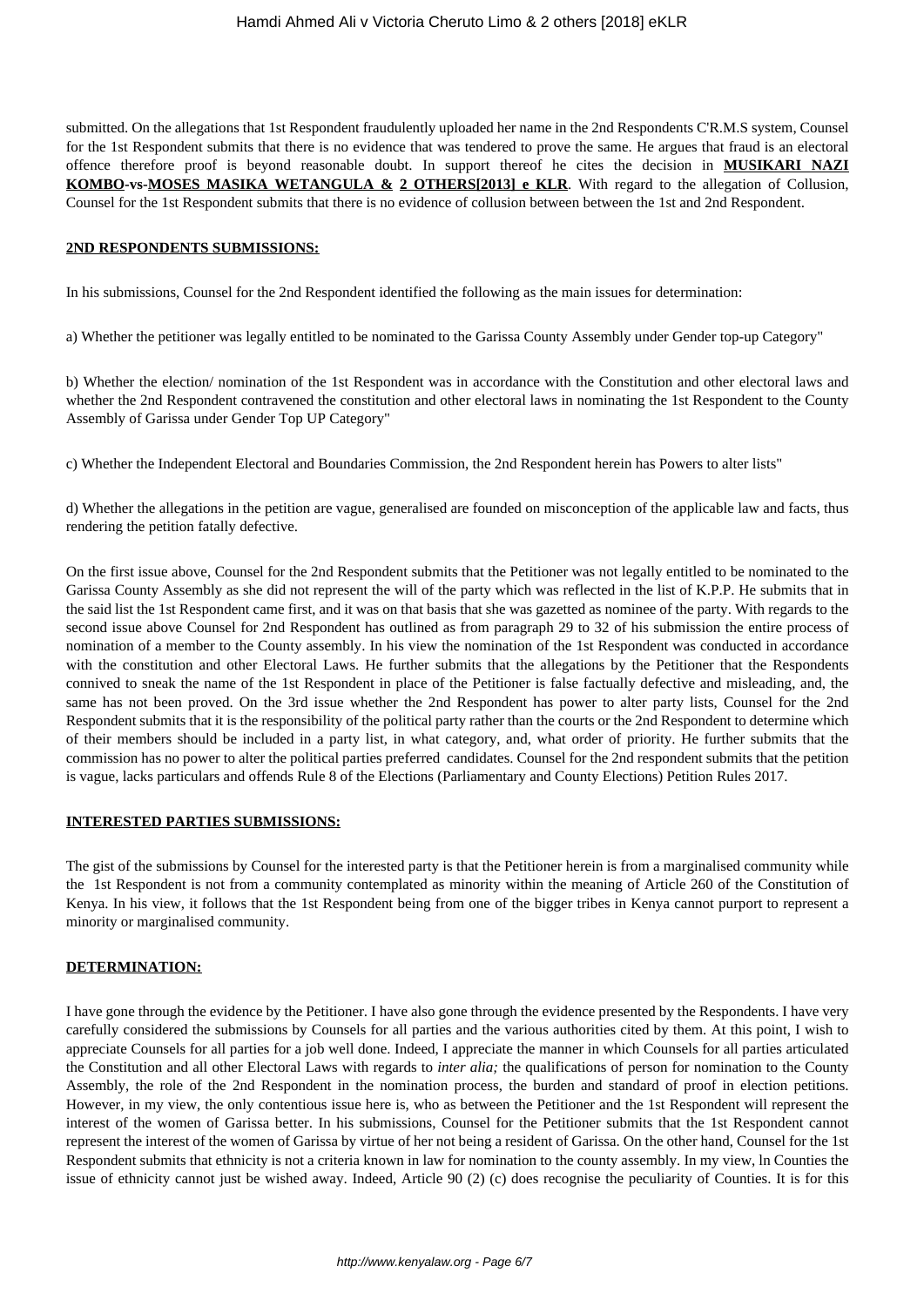submitted. On the allegations that 1st Respondent fraudulently uploaded her name in the 2nd Respondents C'R.M.S system, Counsel for the 1st Respondent submits that there is no evidence that was tendered to prove the same. He argues that fraud is an electoral offence therefore proof is beyond reasonable doubt. In support thereof he cites the decision in **MUSIKARI NAZI KOMBO-vs-MOSES MASIKA WETANGULA & 2 OTHERS[2013] e KLR**. With regard to the allegation of Collusion, Counsel for the 1st Respondent submits that there is no evidence of collusion between between the 1st and 2nd Respondent.

#### **2ND RESPONDENTS SUBMISSIONS:**

In his submissions, Counsel for the 2nd Respondent identified the following as the main issues for determination:

a) Whether the petitioner was legally entitled to be nominated to the Garissa County Assembly under Gender top-up Category"

b) Whether the election/ nomination of the 1st Respondent was in accordance with the Constitution and other electoral laws and whether the 2nd Respondent contravened the constitution and other electoral laws in nominating the 1st Respondent to the County Assembly of Garissa under Gender Top UP Category"

c) Whether the Independent Electoral and Boundaries Commission, the 2nd Respondent herein has Powers to alter lists"

d) Whether the allegations in the petition are vague, generalised are founded on misconception of the applicable law and facts, thus rendering the petition fatally defective.

On the first issue above, Counsel for the 2nd Respondent submits that the Petitioner was not legally entitled to be nominated to the Garissa County Assembly as she did not represent the will of the party which was reflected in the list of K.P.P. He submits that in the said list the 1st Respondent came first, and it was on that basis that she was gazetted as nominee of the party. With regards to the second issue above Counsel for 2nd Respondent has outlined as from paragraph 29 to 32 of his submission the entire process of nomination of a member to the County assembly. In his view the nomination of the 1st Respondent was conducted in accordance with the constitution and other Electoral Laws. He further submits that the allegations by the Petitioner that the Respondents connived to sneak the name of the 1st Respondent in place of the Petitioner is false factually defective and misleading, and, the same has not been proved. On the 3rd issue whether the 2nd Respondent has power to alter party lists, Counsel for the 2nd Respondent submits that it is the responsibility of the political party rather than the courts or the 2nd Respondent to determine which of their members should be included in a party list, in what category, and, what order of priority. He further submits that the commission has no power to alter the political parties preferred candidates. Counsel for the 2nd respondent submits that the petition is vague, lacks particulars and offends Rule 8 of the Elections (Parliamentary and County Elections) Petition Rules 2017.

#### **INTERESTED PARTIES SUBMISSIONS:**

The gist of the submissions by Counsel for the interested party is that the Petitioner herein is from a marginalised community while the 1st Respondent is not from a community contemplated as minority within the meaning of Article 260 of the Constitution of Kenya. In his view, it follows that the 1st Respondent being from one of the bigger tribes in Kenya cannot purport to represent a minority or marginalised community.

#### **DETERMINATION:**

I have gone through the evidence by the Petitioner. I have also gone through the evidence presented by the Respondents. I have very carefully considered the submissions by Counsels for all parties and the various authorities cited by them. At this point, I wish to appreciate Counsels for all parties for a job well done. Indeed, I appreciate the manner in which Counsels for all parties articulated the Constitution and all other Electoral Laws with regards to *inter alia;* the qualifications of person for nomination to the County Assembly, the role of the 2nd Respondent in the nomination process, the burden and standard of proof in election petitions. However, in my view, the only contentious issue here is, who as between the Petitioner and the 1st Respondent will represent the interest of the women of Garissa better. In his submissions, Counsel for the Petitioner submits that the 1st Respondent cannot represent the interest of the women of Garissa by virtue of her not being a resident of Garissa. On the other hand, Counsel for the 1st Respondent submits that ethnicity is not a criteria known in law for nomination to the county assembly. In my view, ln Counties the issue of ethnicity cannot just be wished away. Indeed, Article 90 (2) (c) does recognise the peculiarity of Counties. It is for this